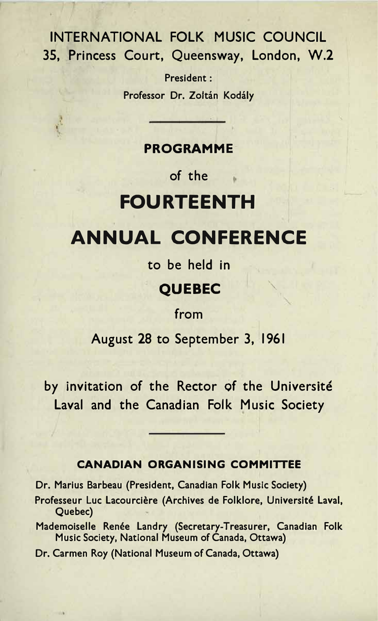## 8 8 8 8 **INTERNATIONAL FOLK MUSIC COUNCIL** 35, Princess Court, Queensway, London, W.2

President : Professor Dr. Zoltán Kodály

## **- PROGRAMME**

## of the

# **FOURTEENTH**

# **- - ANNUAL CONFERENCE**

to be held in

## **- QUEBEC**

## from

## August 28 to September 3, 1961

by invitation of the Rector of the Université Laval and the Canadian Folk Music Society

## **-  - CANADIAN ORGANISING COMMITTEE**

**Dr. Marius Barbeau (President, Canadian Folk Music Society) 10#22519 59 051% 19 1\$%629 9 0,),019 /%612-4!9 6+9** Professeur Luc Lacourciere (Archives de Folklore, Universite Laval, **5-9** Quebec) **.0%2,,9 /"9 /189 1318125119 /'/9 0+)9** Mademoiselle Renee Landry (Secretary-Treasurer, Canadian Folk **52%90(3893&0/,9525.90#9 /9337-9** Music Society, National Museum of Canada, Ottawa)

**Dr. Carmen Roy (National Museum of Canada, Ottawa)**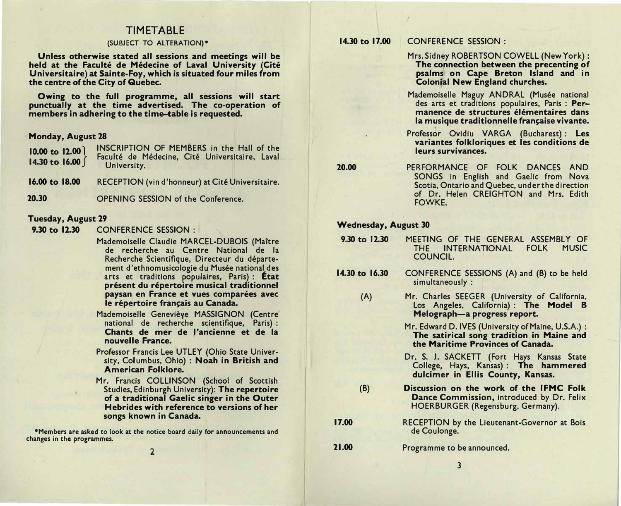## **TIMETABLE**

## (SUBJECT TO ALTERATION)\*

Unless otherwise stated all sessions and meetings will be held at the Faculté de Médecine of Laval University (Cité Universitaire) at Sainte-Foy, which is situated four miles from the centre of the City of Quebec.

Owing to the full programme, all sessions will start punctually at the time advertised. The co-operation of members in adhering to the time-table is requested.

### **Monday, August 28**

| $10.00$ to $12.00$<br>14.30 to 16.00 | INSCRIPTION OF MEMBERS in the Hall of the<br>Faculté de Médecine, Cité Universitaire, Laval<br>University. |
|--------------------------------------|------------------------------------------------------------------------------------------------------------|
|--------------------------------------|------------------------------------------------------------------------------------------------------------|

- 16.00 to 18.00 RECEPTION (vin d'honneur) at Cité Universitaire.
- 20.30 **OPENING SESSION of the Conference.**

## **Tuesday, August 29**

- 9.30 to 12.30 **CONFERENCE SESSION:** 
	- Mademoiselle Claudie MARCEL-DUBOIS (Maître de recherche au Centre National de la Recherche Scientifique. Directeur du département d'ethnomusicologie du Musée national des arts et traditions populaires, Paris) : Etat présent du répertoire musical traditionnel paysan en France et vues comparées avec le répertoire français au Canada.
	- Mademoiselle Geneviève MASSIGNON (Centre national de recherche scientifique, Paris) : Chants de mer de l'ancienne et de la nouvelle France.
	- Professor Francis Lee UTLEY (Ohio State University, Columbus, Ohio): Noah in British and American Folklore.
	- Mr. Francis COLLINSON (School of Scottish Studies, Edinburgh University): The repertoire of a traditional Gaelic singer in the Outer Hebrides with reference to versions of her songs known in Canada.

\*Members are asked to look at the notice board daily for announcements and changes in the programmes.

14.30 to 17.00

Mrs. Sidney ROBERTSON COWELL (New York): The connection between the precenting of psalms on Cape Breton Island and in **Colonial New England churches.** 

**CONFERENCE SESSION:** 

- Mademoiselle Maguy ANDRAL (Musée national des arts et traditions populaires, Paris : Permanence de structures élémentaires dans la musique traditionnelle française vivante.
- Professor Ovidiu VARGA (Bucharest): Les variantes folkloriques et les conditions de leurs survivances.

20.00

PERFORMANCE OF FOLK DANCES AND SONGS in English and Gaelic from Nova Scotia. Ontario and Ouebec, under the direction of Dr. Helen CREIGHTON and Mrs. Edith **FOWKE** 

### **Wednesday, August 30**

 $(B)$ 

17.00

- MEETING OF THE GENERAL ASSEMBLY OF 9.30 to 12.30 THE INTERNATIONAL FOLK MUSIC COUNCIL.
- 14.30 to 16.30 CONFERENCE SESSIONS (A) and (B) to be held simultaneously:
	- Mr. Charles SEEGER (University of California,  $(A)$ Los Angeles, California): The Model B Melograph-a progress report.
		- Mr. Edward D. IVES (University of Maine, U.S.A.) : The satirical song tradition in Maine and the Maritime Provinces of Canada.
		- Dr. S. J. SACKETT (Fort Hays Kansas State College, Hays, Kansas): The hammered dulcimer in Ellis County, Kansas.
		- Discussion on the work of the IFMC Folk Dance Commission, introduced by Dr. Felix HOERBURGER (Regensburg, Germany).
	- RECEPTION by the Lieutenant-Governor at Bois de Coulonge.
- 21.00 Programme to be announced.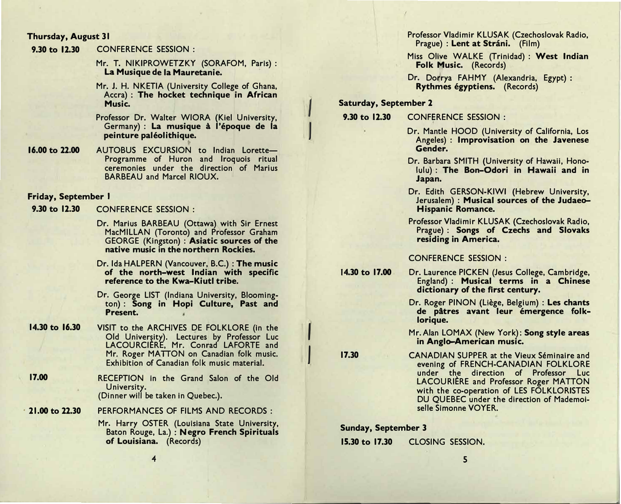### **Thursday, August 31**

#### **CONFERENCE SESSION:** 9.30 to 12.30

Mr. T. NIKIPROWETZKY (SORAFOM, Paris) : La Musique de la Mauretanie.

Mr. J. H. NKETIA (University College of Ghana, Accra) : The hocket technique in African Music.

Professor Dr. Walter WIORA (Kiel University, Germany) : La musique à l'époque de la peinture paléolithique.

16.00 to 22.00 AUTOBUS EXCURSION to Indian Lorette-Programme of Huron and Iroquois ritual ceremonies under the direction of Marius BARBEAU and Marcel RIOUX.

## Friday, September 1

9.30 to 12.30 **CONFERENCE SESSION:** 

- Dr. Marius BARBEAU (Ottawa) with Sir Ernest MacMILLAN (Toronto) and Professor Graham GEORGE (Kingston) : Asiatic sources of the native music in the northern Rockies.
- Dr. Ida HALPERN (Vancouver, B.C.): The music of the north-west Indian with specific reference to the Kwa-Kiutl tribe.

Dr. George LIST (Indiana University, Bloomington) : Song in Hopi Culture, Past and Present.

- 14.30 to 16.30 VISIT to the ARCHIVES DE FOLKLORE (in the Old University). Lectures by Professor Luc LACOURCIÈRE, Mr. Conrad LAFORTE and Mr. Roger MATTON on Canadian folk music. Exhibition of Canadian folk music material.
- 17.00 RECEPTION in the Grand Salon of the Old University. (Dinner will be taken in Quebec.).

21.00 to 22.30 PERFORMANCES OF FILMS AND RECORDS :

> Mr. Harry OSTER (Louisiana State University, Baton Rouge, La.): Negro French Spirituals of Louisiana. (Records)

Professor Vladimir KLUSAK (Czechoslovak Radio, Prague) : Lent at Stráni. (Film)

- Miss Olive WALKE (Trinidad) : West Indian Folk Music. (Records)
- Dr. Dorrya FAHMY (Alexandria, Egypt): Rythmes égyptiens. (Records)

## **Saturday, September 2**

9.30 to 12.30 **CONFERENCE SESSION:** 

> Dr. Mantle HOOD (University of California, Los Angeles) : Improvisation on the Javenese Gender.

- Dr. Barbara SMITH (University of Hawaii, Honolulu): The Bon-Odori in Hawaii and in Japan.
- Dr. Edith GERSON-KIWI (Hebrew University, Jerusalem) : Musical sources of the Judaeo-**Hispanic Romance.**
- Professor Vladimir KLUSAK (Czechoslovak Radio, Prague): Songs of Czechs and Slovaks residing in America.

## **CONFERENCE SESSION:**

- 14.30 to 17.00 Dr. Laurence PICKEN (Jesus College, Cambridge, England): Musical terms in a Chinese dictionary of the first century.
	- Dr. Roger PINON (Liège, Belgium) : Les chants de pâtres avant leur émergence folklorique.

Mr. Alan LOMAX (New York): Song style areas in Anglo-American music.

17.30 CANADIAN SUPPER at the Vieux Séminaire and evening of FRENCH-CANADIAN FOLKLORE under the direction of Professor Luc LACOURIERE and Professor Roger MATTON with the co-operation of LES FOLKLORISTES DU OUEBEC under the direction of Mademoiselle Simonne VOYER.

**Sunday, September 3** 

15.30 to 17.30 CLOSING SESSION.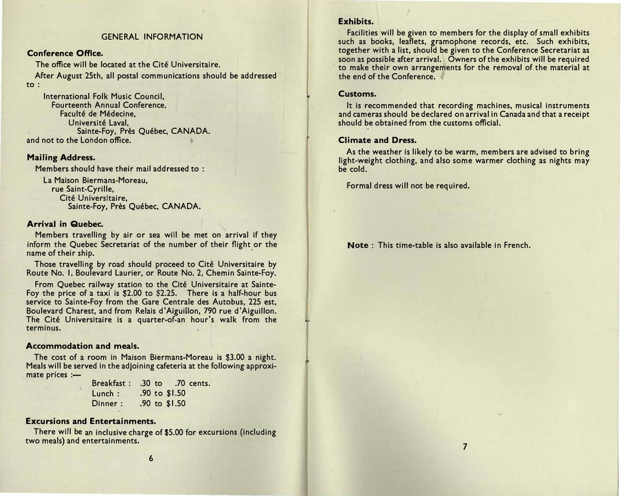## $GENERAL$  INFORMATION

## **Conference Office.**

The office will be located at the Cité Universitaire. After August 25th, all postal communications should be addressed **-** t o :

International Folk Music Council, Fourteenth Annual Conference, Faculté de Médecine, Université Laval, Sainte-Foy, Près Québec, CANADA. and not to the London office.

## **Mailing Address.**

Members should have their mail addressed to :

**>L?Lk| 2qVyL|?VL** La Maison Biermans-Moreau, rue Saint-Cyrille, Cité Universitaire, Sainte-Foy, Près Québec, CANADA.

### **Arrival in Quebec.**

**?VyNV LVppk|f N Lk VL kvp NV yV | LkLp k[ hV** Members travelling by air or sea will be met on arrival if they **k|]y hV FVNVR IVRVLkL [ hV |yNV [ hVk bkfh hV** inform the Quebec Secretariat of the number of their flight or the name of their ship.

**JhV LVppm|f N LS hpS RVVS 4kW K|kVkLkV N** Those travelling by road should proceed to Cite Universitaire by Route No. 1, Boulevard Laurier, or Route No. 2, Chemin Sainte-Foy.

From Quebec railway station to the Cité Universitaire at Sainte-**Foy the price of a taxi is \$2.00 to \$2.25. There is a half-hour bus** service to Sainte-Foy from the Gare Centrale des Autobus, 225 est, Boulevard Charest, and from Relais d'Aiguillon, 790 rue d'Aiguillon. **JhV 4kW K|kVqLkV = L LV\L| h Lpo [y hV** The Cite Universitaire is a quarter-of-an hour's walk from the terminus.

### Accommodation and meals.

**JhV R [ L y =| ?Lq| 2kVyL|?VL k -)&& L |kfh** The cost of a room In Maison Biermans-Moreau is \$3.00 a night. Meals will be served in the adjoining cafeteria at the following approximate prices :—

|         | Breakfast: .30 to .70 cents. |
|---------|------------------------------|
| Lunch:  | .90 to \$1.50                |
| Dinner: | .90 to \$1.50                |

### **Excursions and Entertainments.**

There will be an inclusive charge of \$5.00 for excursions (including two meals) and entertainments*.* 

## **Exhibits.**

Facilities will be given to members for the display of small exhibits **Rh L No pVL[pV fLyh|V VRS VR IRh VhkNk** such as books, leaflets, gramophone records, etc. Such exhibits, together with a list, should be given to the Conference Secretariat as soon as possible after arrival. Owners of the exhibits will be required to make their own arrangements for the removal of the material at the end of the Conference.

## **3~z! Customs.**

It is recommended that recording machines, musical instruments **L|SRLyVLhpSNVSVRpLVS|LkLpk|4L|LSLL|ShLLVRVk** and cameras should be declared on arrival in Canada and that a receipt should be obtained from the customs official.

## **Climate and Dress.**

As the weather is likely to be warm, members are advised to bring light-weight clothing, and also some warmer clothing as nights may be cold.

**-**

Formal dress will not be required.

**Note** : This time-table is also available in French.